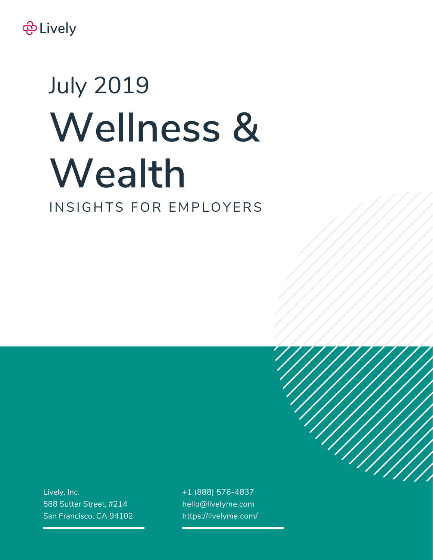

# **Wellness & Wealth** July 2019 INSIGHTS FOR EMPLOYERS

Lively, Inc. 588 Sutter Street, #214 San Francisco, CA 94102 +1 (888) 576-4837 hello@livelyme.com https://livelyme.com/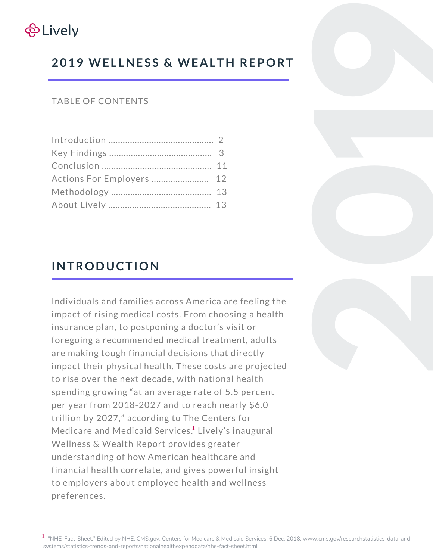

# **2019 WEL LNESS & WEALTH REPORT**

#### TABLE OF CONTENTS

# **INTRODUCTION**

Individuals and families across America are feeling the impact of rising medical costs. From choosing a health insurance plan, to postponing a doctor's visit or foregoing a recommended medical treatment, adults are making tough financial decisions that directly impact their physical health. These costs are projected to rise over the next decade, with national health spending growing "at an average rate of 5.5 percent per year from 2018-2027 and to reach nearly \$6.0 trillion by 2027," according to The Centers for Medicare and Medicaid Services.<sup>1</sup> Lively's inaugural Wellness & Wealth Report provides greater understanding of how American healthcare and financial health correlate, and gives powerful insight to employers about employee health and wellness preferences.

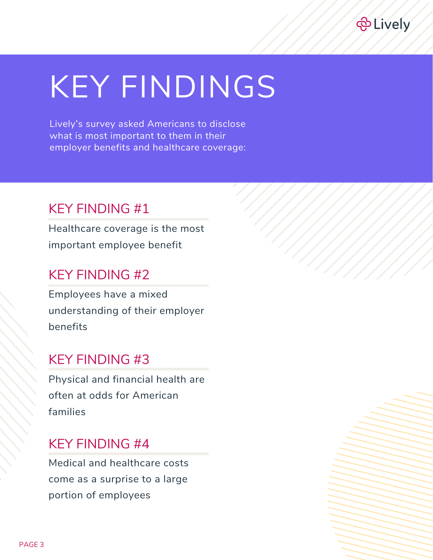

# KEY FINDINGS

Lively's survey asked Americans to disclose what is most important to them in their employer benefits and healthcare coverage:

# KEY FINDING #1

Healthcare coverage is the most important employee benefit

### KEY FINDING #2

Employees have a mixed understanding of their employer benefits

# KEY FINDING #3

Physical and financial health are often at odds for American families

### KEY FINDING #4

Medical and healthcare costs come as a surprise to a large portion of employees

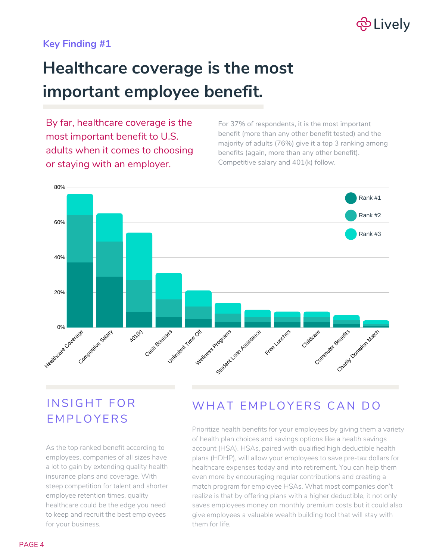

#### **Key Finding #1**

# **Healthcare coverage is the most important employee benefit.**

By far, healthcare coverage is the most important benefit to U.S. adults when it comes to choosing or staying with an employer.

For 37% of respondents, it is the most important benefit (more than any other benefit tested) and the majority of adults (76%) give it a top 3 ranking among benefits (again, more than any other benefit). Competitive salary and 401(k) follow.



# INSIGHT FOR **EMPLOYERS**

As the top ranked benefit according to employees, companies of all sizes have a lot to gain by extending quality health insurance plans and coverage. With steep competition for talent and shorter employee retention times, quality healthcare could be the edge you need to keep and recruit the best employees for your business.

### WHAT EMPLOYERS CAN DO

Prioritize health benefits for your employees by giving them a variety of health plan choices and savings options like a health savings account (HSA). HSAs, paired with qualified high deductible health plans (HDHP), will allow your employees to save pre-tax dollars for healthcare expenses today and into retirement. You can help them even more by encouraging regular contributions and creating a match program for employee HSAs. What most companies don't realize is that by offering plans with a higher deductible, it not only saves employees money on monthly premium costs but it could also give employees a valuable wealth building tool that will stay with them for life.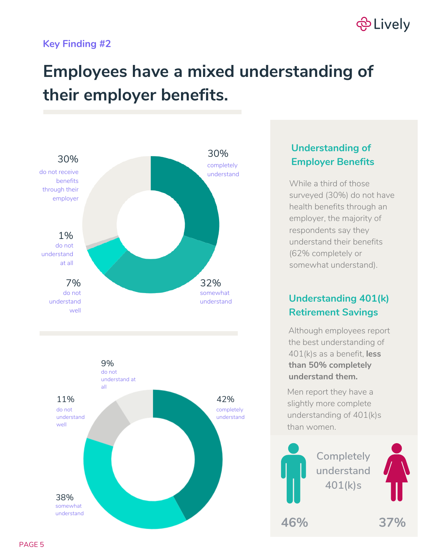# ලි Lively

#### **Key Finding #2**

# **Employees have a mixed understanding of their employer benefits.**



#### **Understanding of Employer Benefits**

While a third of those surveyed (30%) do not have health benefits through an employer, the majority of respondents say they understand their benefits (62% completely or somewhat understand).

### **Understanding 401(k) Retirement Savings**

Although employees report the best understanding of 401(k)s as a benefit, **less than 50% completely understand them.**

Men report they have a slightly more complete understanding of 401(k)s than women.



**Completely understand 401(k)s**



**46% 37%**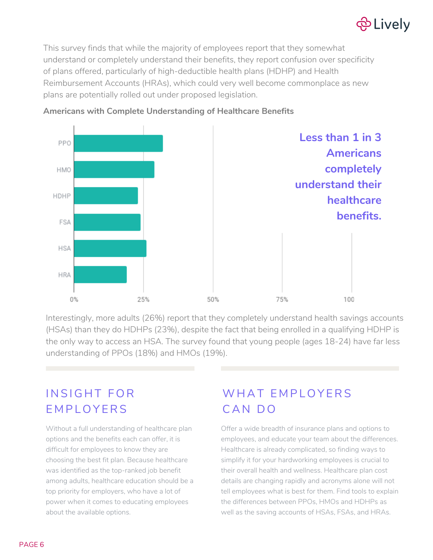# <del>@</del> Lively

This survey finds that while the majority of employees report that they somewhat understand or completely understand their benefits, they report confusion over specificity of plans offered, particularly of high-deductible health plans (HDHP) and Health Reimbursement Accounts (HRAs), which could very well become commonplace as new plans are potentially rolled out under proposed legislation.



#### **Americans with Complete Understanding of Healthcare Benefits**

Interestingly, more adults (26%) report that they completely understand health savings accounts (HSAs) than they do HDHPs (23%), despite the fact that being enrolled in a qualifying HDHP is the only way to access an HSA. The survey found that young people (ages 18-24) have far less understanding of PPOs (18%) and HMOs (19%).

# INSIGHT FOR **EMPLOYERS**

Without a full understanding of healthcare plan options and the benefits each can offer, it is difficult for employees to know they are choosing the best fit plan. Because healthcare was identified as the top-ranked job benefit among adults, healthcare education should be a top priority for employers, who have a lot of power when it comes to educating employees about the available options.

# WHAT EMPLOYERS CAN DO

Offer a wide breadth of insurance plans and options to employees, and educate your team about the differences. Healthcare is already complicated, so finding ways to simplify it for your hardworking employees is crucial to their overall health and wellness. Healthcare plan cost details are changing rapidly and acronyms alone will not tell employees what is best for them. Find tools to explain the differences between PPOs, HMOs and HDHPs as well as the saving accounts of HSAs, FSAs, and HRAs.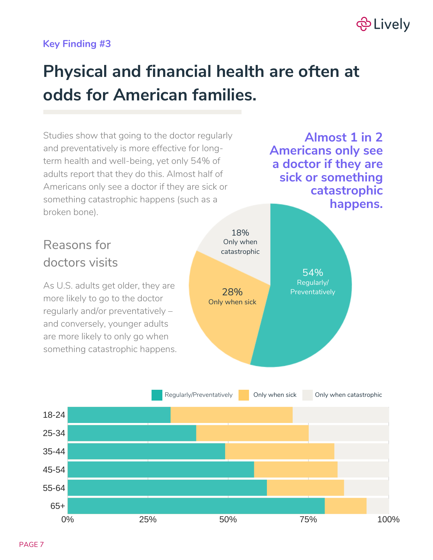# <del>@</del> Lively

#### **Key Finding #3**

# **Physical and financial health are often at odds for American families.**



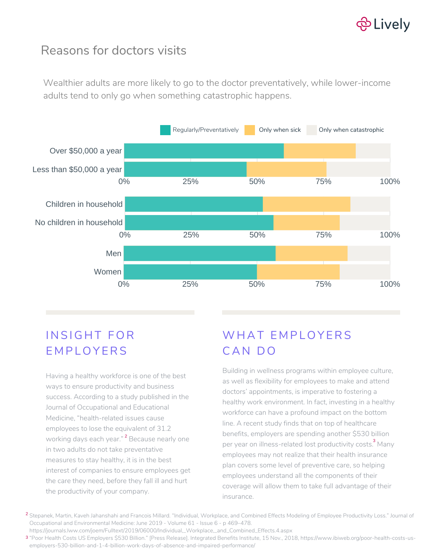

### Reasons for doctors visits

Wealthier adults are more likely to go to the doctor preventatively, while lower-income adults tend to only go when something catastrophic happens.



# INSIGHT FOR E M PL O Y ERS

Having a healthy workforce is one of the best ways to ensure productivity and business success. According to a study published in the Journal of Occupational and Educational Medicine, "health-related issues cause employees to lose the equivalent of 31.2 working days each year." <sup>2</sup> Because nearly one in two adults do not take preventative measures to stay healthy, it is in the best interest of companies to ensure employees get the care they need, before they fall ill and hurt the productivity of your company.

# WHAT FMPLOYFRS CAN DO

Building in wellness programs within employee culture, as well as flexibility for employees to make and attend doctors' appointments, is imperative to fostering a healthy work environment. In fact, investing in a healthy workforce can have a profound impact on the bottom line. A recent study finds that on top of healthcare benefits, employers are spending another \$530 billion per year on illness-related lost productivity costs.<sup>3</sup> Many employees may not realize that their health insurance plan covers some level of preventive care, so helping employees understand all the components of their coverage will allow them to take full advantage of their insurance.

 $^{\mathsf{2}}$  Stepanek, Martin, Kaveh Jahanshahi and Francois Millard. "Individual, Workplace, and Combined Effects Modeling of Employee Productivity Loss." Journal of Occupational and Environmental Medicine: June 2019 - Volume 61 - Issue 6 - p 469–478. https://journals.lww.com/joem/Fulltext/2019/06000/Individual,\_Workplace,\_and\_Combined\_Effects.4.aspx

"Poor Health Costs US Employers \$530 Billion." [Press Release]. Integrated Benefits Institute, 15 Nov., 2018, https://www.ibiweb.org/poor-health-costs-us-3 employers-530-billion-and-1-4-billion-work-days-of-absence-and-impaired-performance/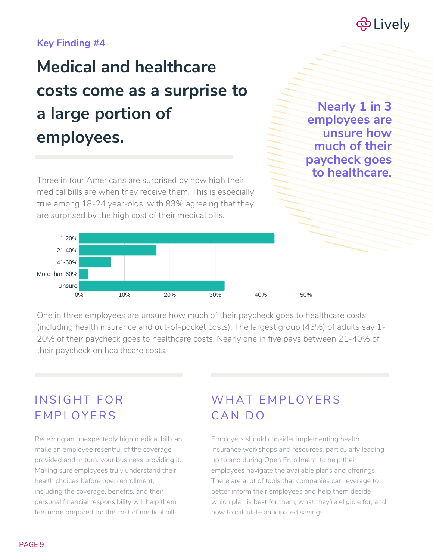

#### **Key Finding #4**

# **Medical and healthcare costs come as a surprise to a large portion of employees.**

Three in four Americans are surprised by how high their medical bills are when they receive them. This is especially true among 18-24 year-olds, with 83% agreeing that they are surprised by the high cost of their medical bills.

**Nearly 1 in 3 employees are unsure how much of their paycheck goes to healthcare.**



One in three employees are unsure how much of their paycheck goes to healthcare costs (including health insurance and out-of-pocket costs). The largest group (43%) of adults say 1- 20% of their paycheck goes to healthcare costs. Nearly one in five pays between 21-40% of their paycheck on healthcare costs.

### INSIGHT FOR **EMPLOYERS**

Receiving an unexpectedly high medical bill can make an employee resentful of the coverage provided and in turn, your business providing it. Making sure employees truly understand their health choices before open enrollment, including the coverage, benefits, and their personal financial responsibility will help them feel more prepared for the cost of medical bills.

### WHAT EMPLOYERS CAN DO

Employers should consider implementing health insurance workshops and resources, particularly leading up to and during Open Enrollment, to help their employees navigate the available plans and offerings. There are a lot of tools that companies can leverage to better inform their employees and help them decide which plan is best for them, what they're eligible for, and how to calculate anticipated savings.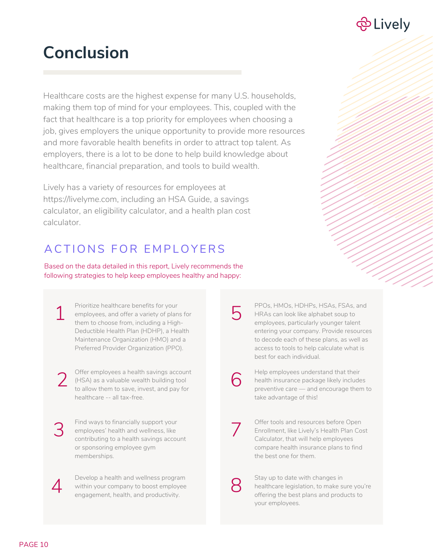

# **Conclusion**

Healthcare costs are the highest expense for many U.S. households, making them top of mind for your employees. This, coupled with the fact that healthcare is a top priority for employees when choosing a job, gives employers the unique opportunity to provide more resources and more favorable health benefits in order to attract top talent. As employers, there is a lot to be done to help build knowledge about healthcare, financial preparation, and tools to build wealth.

Lively has a variety of resources for employees at https://livelyme.com, including an HSA Guide, a savings calculator, an eligibility calculator, and a health plan cost calculator.

### ACTIONS FOR EMPLOYERS

Based on the data detailed in this report, Lively recommends the following strategies to help keep employees healthy and happy:

Prioritize healthcare benefits for your employees, and offer a variety of plans for them to choose from, including a High-Deductible Health Plan (HDHP), a Health Maintenance Organization (HMO) and a Preferred Provider Organization (PPO). 1

Offer employees a health savings account (HSA) as a valuable wealth building tool to allow them to save, invest, and pay for healthcare -- all tax-free. 2

Find ways to financially support your employees' health and wellness, like contributing to a health savings account or sponsoring employee gym memberships. 3

> Develop a health and wellness program within your company to boost employee engagement, health, and productivity.

PPOs, HMOs, HDHPs, HSAs, FSAs, and HRAs can look like alphabet soup to employees, particularly younger talent entering your company. Provide resources to decode each of these plans, as well as access to tools to help calculate what is best for each individual.

6

7

8

5

Help employees understand that their health insurance package likely includes preventive care — and encourage them to take advantage of this!

Offer tools and resources before Open Enrollment, like Lively's Health Plan Cost Calculator, that will help employees compare health insurance plans to find the best one for them.

Stay up to date with changes in healthcare legislation, to make sure you're offering the best plans and products to your employees.